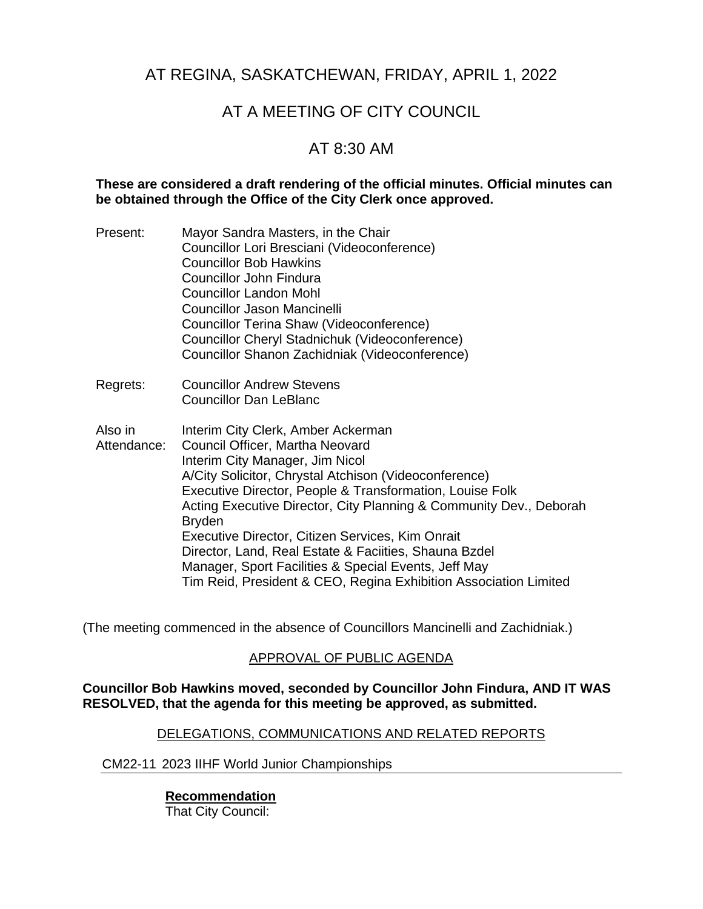## AT REGINA, SASKATCHEWAN, FRIDAY, APRIL 1, 2022

# AT A MEETING OF CITY COUNCIL

## AT 8:30 AM

#### **These are considered a draft rendering of the official minutes. Official minutes can be obtained through the Office of the City Clerk once approved.**

| Present:               | Mayor Sandra Masters, in the Chair<br>Councillor Lori Bresciani (Videoconference)<br><b>Councillor Bob Hawkins</b><br>Councillor John Findura<br><b>Councillor Landon Mohl</b><br>Councillor Jason Mancinelli<br>Councillor Terina Shaw (Videoconference)<br>Councillor Cheryl Stadnichuk (Videoconference)<br>Councillor Shanon Zachidniak (Videoconference)                                                                                                                                                                                                 |
|------------------------|---------------------------------------------------------------------------------------------------------------------------------------------------------------------------------------------------------------------------------------------------------------------------------------------------------------------------------------------------------------------------------------------------------------------------------------------------------------------------------------------------------------------------------------------------------------|
| Regrets:               | <b>Councillor Andrew Stevens</b><br><b>Councillor Dan LeBlanc</b>                                                                                                                                                                                                                                                                                                                                                                                                                                                                                             |
| Also in<br>Attendance: | Interim City Clerk, Amber Ackerman<br>Council Officer, Martha Neovard<br>Interim City Manager, Jim Nicol<br>A/City Solicitor, Chrystal Atchison (Videoconference)<br>Executive Director, People & Transformation, Louise Folk<br>Acting Executive Director, City Planning & Community Dev., Deborah<br><b>Bryden</b><br>Executive Director, Citizen Services, Kim Onrait<br>Director, Land, Real Estate & Faciities, Shauna Bzdel<br>Manager, Sport Facilities & Special Events, Jeff May<br>Tim Reid, President & CEO, Regina Exhibition Association Limited |

(The meeting commenced in the absence of Councillors Mancinelli and Zachidniak.)

### APPROVAL OF PUBLIC AGENDA

#### **Councillor Bob Hawkins moved, seconded by Councillor John Findura, AND IT WAS RESOLVED, that the agenda for this meeting be approved, as submitted.**

#### DELEGATIONS, COMMUNICATIONS AND RELATED REPORTS

#### CM22-11 2023 IIHF World Junior Championships

#### **Recommendation** That City Council: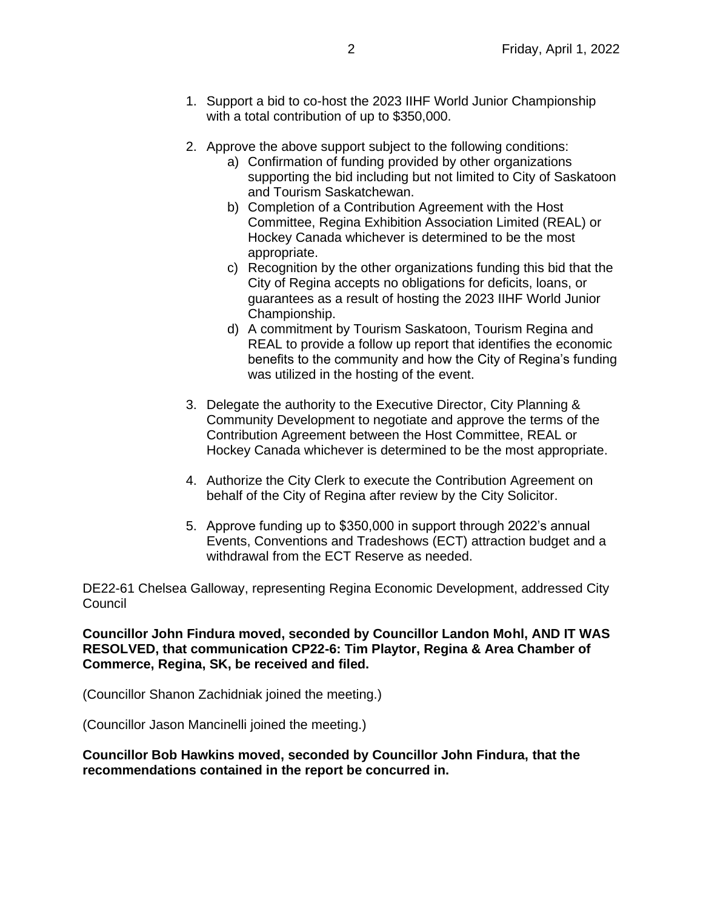- 1. Support a bid to co-host the 2023 IIHF World Junior Championship with a total contribution of up to \$350,000.
- 2. Approve the above support subject to the following conditions:
	- a) Confirmation of funding provided by other organizations supporting the bid including but not limited to City of Saskatoon and Tourism Saskatchewan.
	- b) Completion of a Contribution Agreement with the Host Committee, Regina Exhibition Association Limited (REAL) or Hockey Canada whichever is determined to be the most appropriate.
	- c) Recognition by the other organizations funding this bid that the City of Regina accepts no obligations for deficits, loans, or guarantees as a result of hosting the 2023 IIHF World Junior Championship.
	- d) A commitment by Tourism Saskatoon, Tourism Regina and REAL to provide a follow up report that identifies the economic benefits to the community and how the City of Regina's funding was utilized in the hosting of the event.
- 3. Delegate the authority to the Executive Director, City Planning & Community Development to negotiate and approve the terms of the Contribution Agreement between the Host Committee, REAL or Hockey Canada whichever is determined to be the most appropriate.
- 4. Authorize the City Clerk to execute the Contribution Agreement on behalf of the City of Regina after review by the City Solicitor.
- 5. Approve funding up to \$350,000 in support through 2022's annual Events, Conventions and Tradeshows (ECT) attraction budget and a withdrawal from the ECT Reserve as needed.

DE22-61 Chelsea Galloway, representing Regina Economic Development, addressed City Council

**Councillor John Findura moved, seconded by Councillor Landon Mohl, AND IT WAS RESOLVED, that communication CP22-6: Tim Playtor, Regina & Area Chamber of Commerce, Regina, SK, be received and filed.**

(Councillor Shanon Zachidniak joined the meeting.)

(Councillor Jason Mancinelli joined the meeting.)

**Councillor Bob Hawkins moved, seconded by Councillor John Findura, that the recommendations contained in the report be concurred in.**